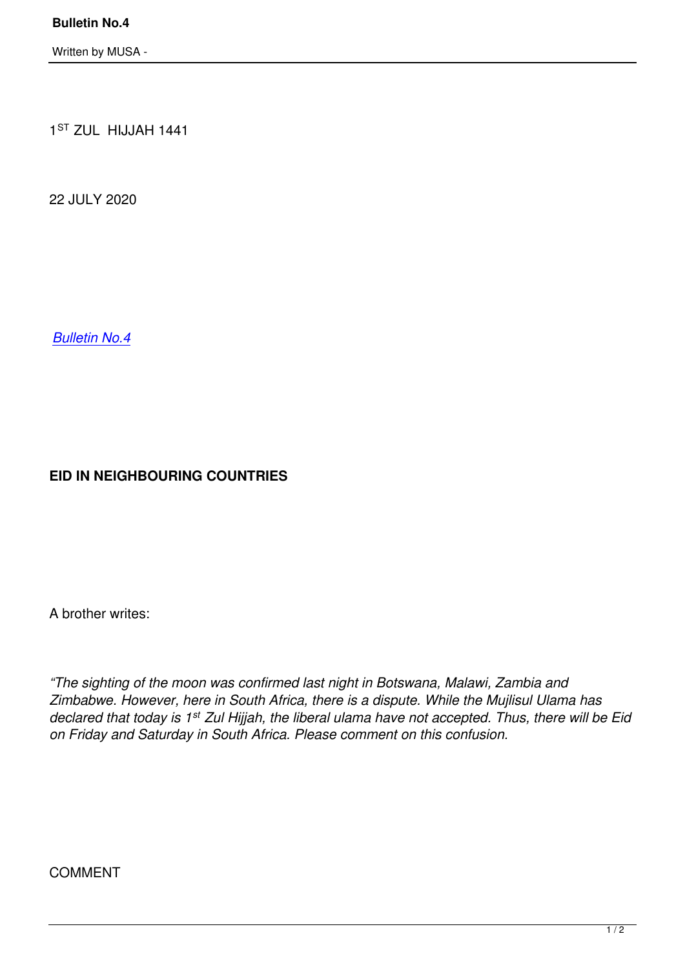1 ST ZUL HIJJAH 1441

22 JULY 2020

*Bulletin No.4*

**EID IN NEIGHBOURING COUNTRIES**

A brother writes:

*"The sighting of the moon was confirmed last night in Botswana, Malawi, Zambia and Zimbabwe. However, here in South Africa, there is a dispute. While the Mujlisul Ulama has declared that today is 1st Zul Hijjah, the liberal ulama have not accepted. Thus, there will be Eid on Friday and Saturday in South Africa. Please comment on this confusion.*

COMMENT